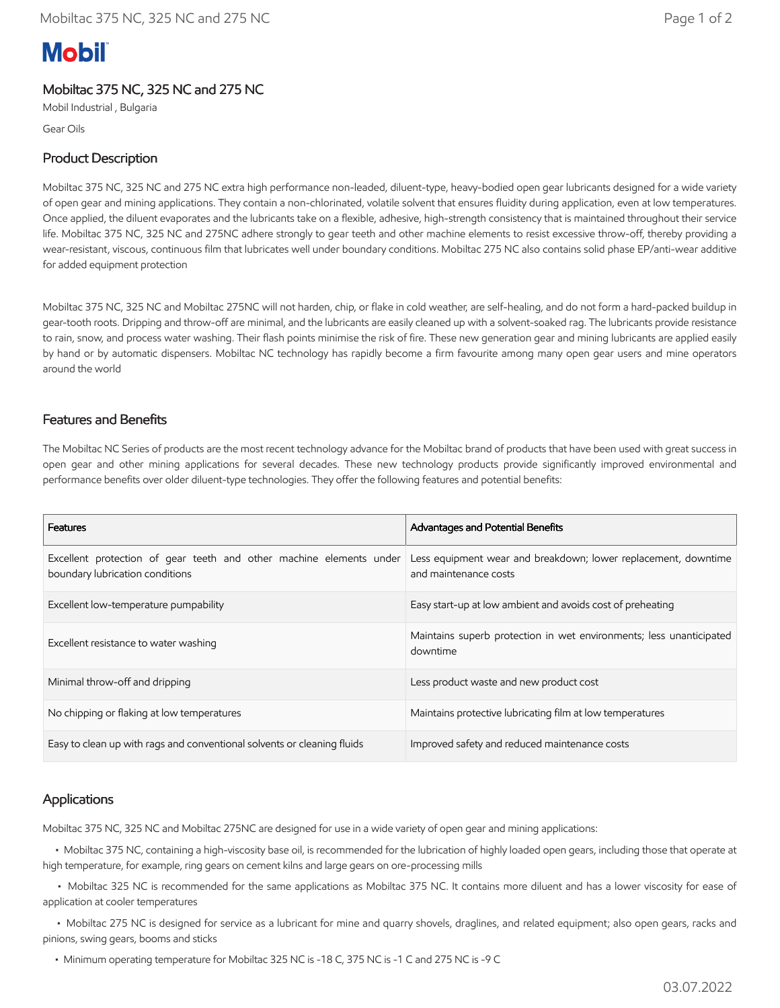# **Mobil**

## Mobiltac 375 NC, 325 NC and 275 NC

Mobil Industrial , Bulgaria

Gear Oils

### Product Description

Mobiltac 375 NC, 325 NC and 275 NC extra high performance non-leaded, diluent-type, heavy-bodied open gear lubricants designed for a wide variety of open gear and mining applications. They contain a non-chlorinated, volatile solvent that ensures fluidity during application, even at low temperatures. Once applied, the diluent evaporates and the lubricants take on a flexible, adhesive, high-strength consistency that is maintained throughout their service life. Mobiltac 375 NC, 325 NC and 275NC adhere strongly to gear teeth and other machine elements to resist excessive throw-off, thereby providing a wear-resistant, viscous, continuous film that lubricates well under boundary conditions. Mobiltac 275 NC also contains solid phase EP/anti-wear additive for added equipment protection

Mobiltac 375 NC, 325 NC and Mobiltac 275NC will not harden, chip, or flake in cold weather, are self-healing, and do not form a hard-packed buildup in gear-tooth roots. Dripping and throw-off are minimal, and the lubricants are easily cleaned up with a solvent-soaked rag. The lubricants provide resistance to rain, snow, and process water washing. Their flash points minimise the risk of fire. These new generation gear and mining lubricants are applied easily by hand or by automatic dispensers. Mobiltac NC technology has rapidly become a firm favourite among many open gear users and mine operators around the world

### Features and Benefits

The Mobiltac NC Series of products are the most recent technology advance for the Mobiltac brand of products that have been used with great success in open gear and other mining applications for several decades. These new technology products provide significantly improved environmental and performance benefits over older diluent-type technologies. They offer the following features and potential benefits:

| <b>Features</b>                                                                                        | Advantages and Potential Benefits                                                       |
|--------------------------------------------------------------------------------------------------------|-----------------------------------------------------------------------------------------|
| Excellent protection of gear teeth and other machine elements under<br>boundary lubrication conditions | Less equipment wear and breakdown; lower replacement, downtime<br>and maintenance costs |
| Excellent low-temperature pumpability                                                                  | Easy start-up at low ambient and avoids cost of preheating                              |
| Excellent resistance to water washing                                                                  | Maintains superb protection in wet environments; less unanticipated<br>downtime         |
| Minimal throw-off and dripping                                                                         | Less product waste and new product cost                                                 |
| No chipping or flaking at low temperatures                                                             | Maintains protective lubricating film at low temperatures                               |
| Easy to clean up with rags and conventional solvents or cleaning fluids                                | Improved safety and reduced maintenance costs                                           |

### Applications

Mobiltac 375 NC, 325 NC and Mobiltac 275NC are designed for use in a wide variety of open gear and mining applications:

 • Mobiltac 375 NC, containing a high-viscosity base oil, is recommended for the lubrication of highly loaded open gears, including those that operate at high temperature, for example, ring gears on cement kilns and large gears on ore-processing mills

 • Mobiltac 325 NC is recommended for the same applications as Mobiltac 375 NC. It contains more diluent and has a lower viscosity for ease of application at cooler temperatures

 • Mobiltac 275 NC is designed for service as a lubricant for mine and quarry shovels, draglines, and related equipment; also open gears, racks and pinions, swing gears, booms and sticks

• Minimum operating temperature for Mobiltac 325 NC is -18 C, 375 NC is -1 C and 275 NC is -9 C